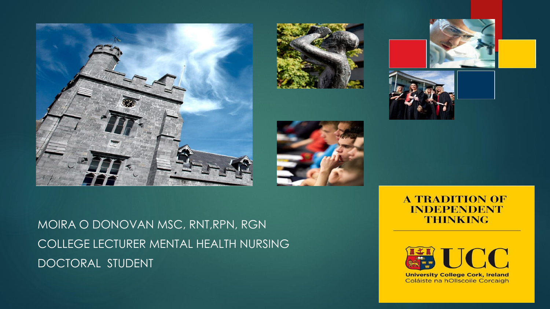









MOIRA O DONOVAN MSC, RNT,RPN, RGN COLLEGE LECTURER MENTAL HEALTH NURSING DOCTORAL STUDENT

#### **A TRADITION OF INDEPENDENT THINKING**



**University College Cork, Ireland** Coláiste na hOllscoile Corcaigh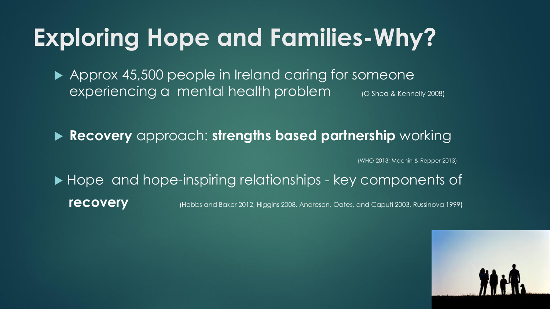## **Exploring Hope and Families-Why?**

▶ Approx 45,500 people in Ireland caring for someone experiencing a mental health problem (O Shea & Kennelly 2008)

**Recovery** approach: **strengths based partnership** working

(WHO 2013; Machin & Repper 2013)

▶ Hope and hope-inspiring relationships - key components of **recovery** (Hobbs and Baker 2012, Higgins 2008, Andresen, Oates, and Caputi 2003, Russinova 1999)

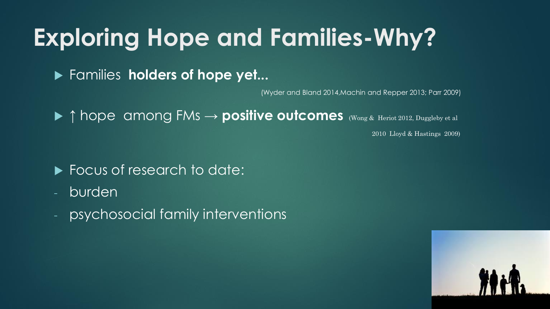## **Exploring Hope and Families-Why?**

Families **holders of hope yet...**

(Wyder and Bland 2014,Machin and Repper 2013; Parr 2009)

↑ hope among FMs → **positive outcomes** (Wong & Heriot 2012, Duggleby et al

2010 Lloyd & Hastings 2009)

- **Focus of research to date:**
- burden
- psychosocial family interventions

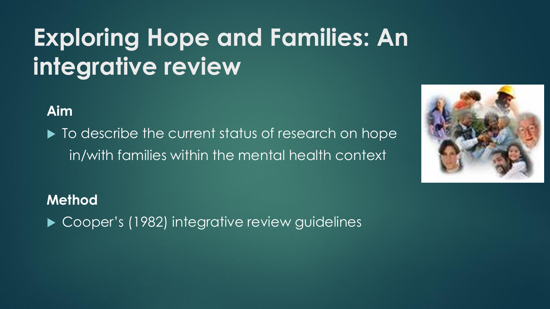# **Exploring Hope and Families: An integrative review**

**Aim**

 $\blacktriangleright$  To describe the current status of research on hope in/with families within the mental health context



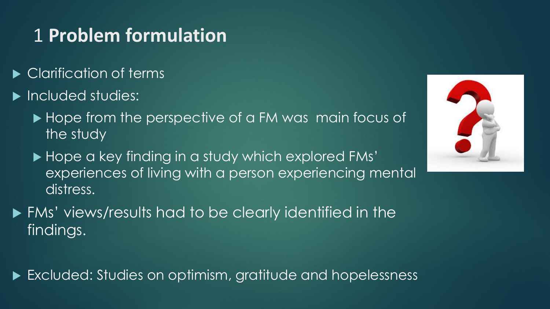#### 1 **Problem formulation**

- Clarification of terms
- Included studies:
	- ▶ Hope from the perspective of a FM was main focus of the study
	- ▶ Hope a key finding in a study which explored FMs' experiences of living with a person experiencing mental distress.
- FMs' views/results had to be clearly identified in the findings.

Excluded: Studies on optimism, gratitude and hopelessness

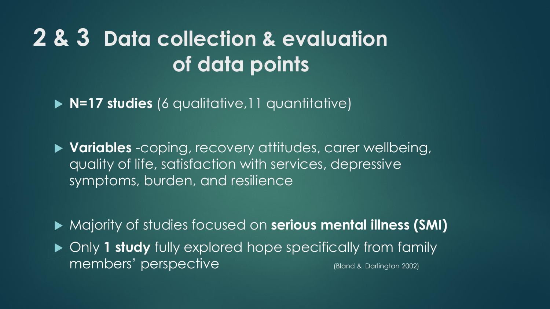#### **2 & 3 Data collection & evaluation of data points**

**N=17 studies** (6 qualitative,11 quantitative)

 **Variables** -coping, recovery attitudes, carer wellbeing, quality of life, satisfaction with services, depressive symptoms, burden, and resilience

Majority of studies focused on **serious mental illness (SMI)**

 Only **1 study** fully explored hope specifically from family members' perspective (Bland & Darlington 2002)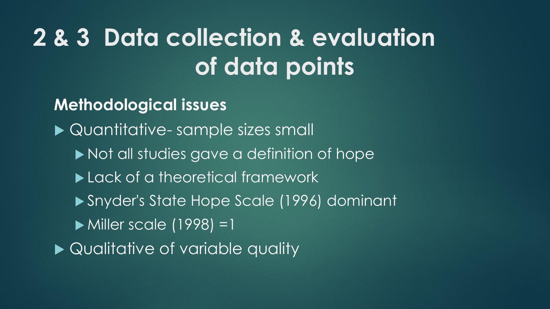# **2 & 3 Data collection & evaluation of data points**

**Methodological issues**

▶ Quantitative- sample sizes small

- $\blacktriangleright$  Not all studies gave a definition of hope
- Lack of a theoretical framework
- Snyder's State Hope Scale (1996) dominant
- Miller scale (1998) =1
- ▶ Qualitative of variable quality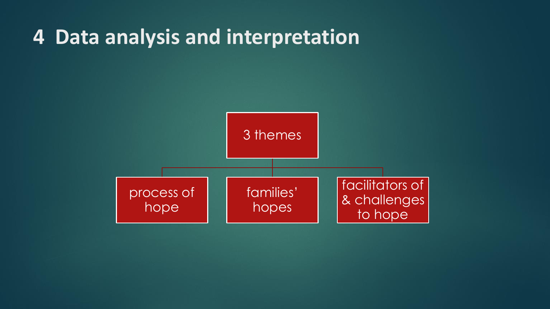#### **4 Data analysis and interpretation**

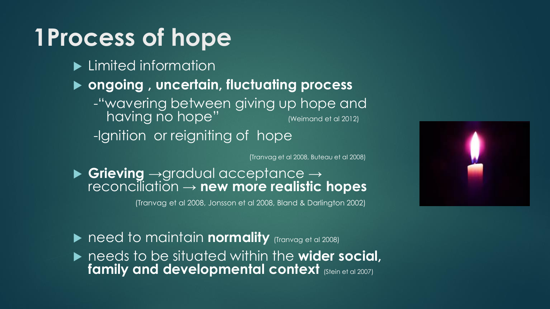## **1Process of hope**

- **Limited information**
- **ongoing , uncertain, fluctuating process** 
	- -"wavering between giving up hope and having no hope" (Weimand et al 2012)
	- -Ignition or reigniting of hope

(Tranvag et al 2008, Buteau et al 2008)

 **Grieving** →gradual acceptance → reconciliation → **new more realistic hopes**

(Tranvag et al 2008, Jonsson et al 2008, Bland & Darlington 2002)



- ▶ need to maintain **normality** (Tranvag et al 2008)
- ▶ needs to be situated within the **wider social**, **family and developmental context (Stein et al 2007)**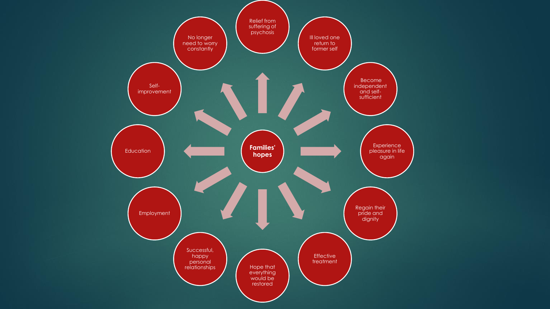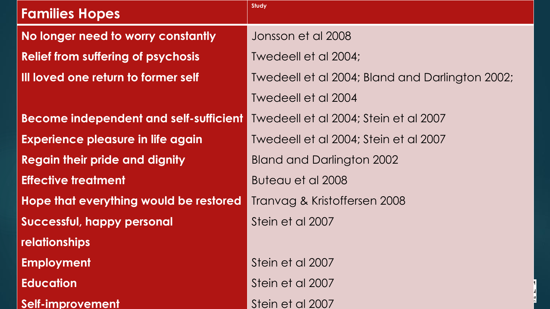| <b>Families Hopes</b>                      | <b>Study</b>                                    |
|--------------------------------------------|-------------------------------------------------|
| No longer need to worry constantly         | Jonsson et al 2008                              |
| <b>Relief from suffering of psychosis</b>  | Twedeell et al 2004;                            |
| <b>Ill loved one return to former self</b> | Twedeell et al 2004; Bland and Darlington 2002; |
|                                            | Twedeell et al 2004                             |
| Become independent and self-sufficient     | Twedeell et al 2004; Stein et al 2007           |
| <b>Experience pleasure in life again</b>   | Twedeell et al 2004; Stein et al 2007           |
| <b>Regain their pride and dignity</b>      | <b>Bland and Darlington 2002</b>                |
| <b>Effective treatment</b>                 | Buteau et al 2008                               |
| Hope that everything would be restored     | Tranvag & Kristoffersen 2008                    |
| <b>Successful, happy personal</b>          | Stein et al 2007                                |
| relationships                              |                                                 |
| <b>Employment</b>                          | Stein et al 2007                                |
| <b>Education</b>                           | Stein et al 2007                                |
| Self-improvement                           | Stein et al 2007                                |

d  $h$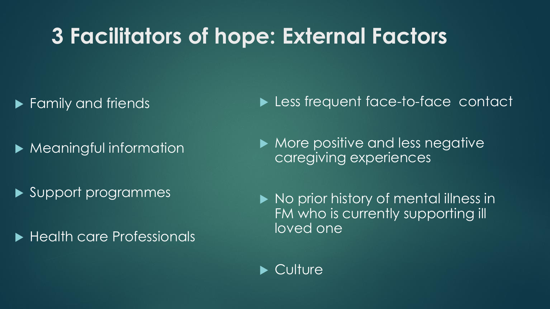#### **3 Facilitators of hope: External Factors**

- **Family and friends**
- **Meaningful information**
- Support programmes
- ▶ Health care Professionals
- **Less frequent face-to-face contact**
- $\blacktriangleright$  More positive and less negative caregiving experiences
- No prior history of mental illness in FM who is currently supporting ill loved one
- ▶ Culture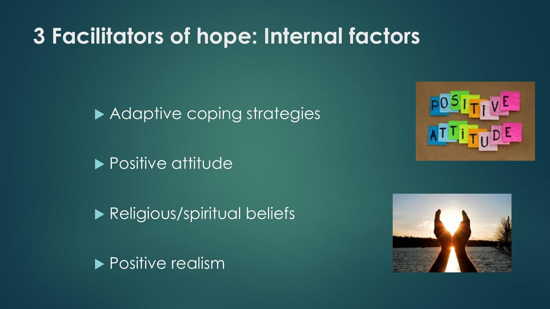#### **3 Facilitators of hope: Internal factors**

Adaptive coping strategies

**Positive attitude** 

**Religious/spiritual beliefs** 





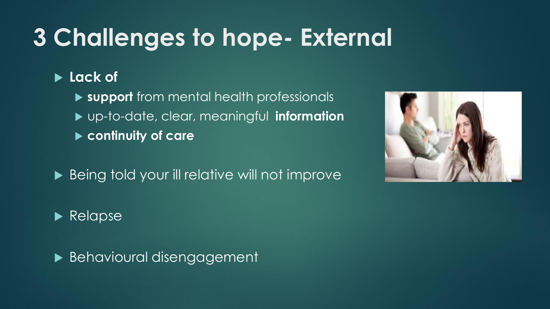# **3 Challenges to hope- External**

#### **Lack of**

 **support** from mental health professionals up-to-date, clear, meaningful **information continuity of care**

▶ Being told your ill relative will not improve



**Behavioural disengagement** 

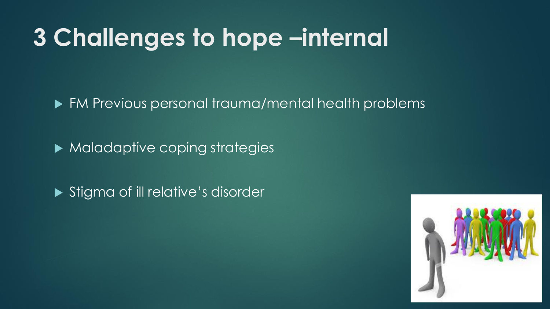#### **3 Challenges to hope –internal**

▶ FM Previous personal trauma/mental health problems

Maladaptive coping strategies

Stigma of ill relative's disorder

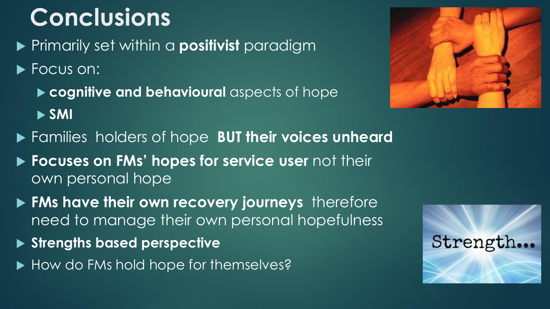# **Conclusions**

- Primarily set within a **positivist** paradigm
- Focus on:
	- **cognitive and behavioural** aspects of hope **SMI**
- Families holders of hope **BUT their voices unheard**
- **Focuses on FMs' hopes for service user** not their own personal hope
- **FMs have their own recovery journeys** therefore need to manage their own personal hopefulness
- **Strengths based perspective**
- How do FMs hold hope for themselves?



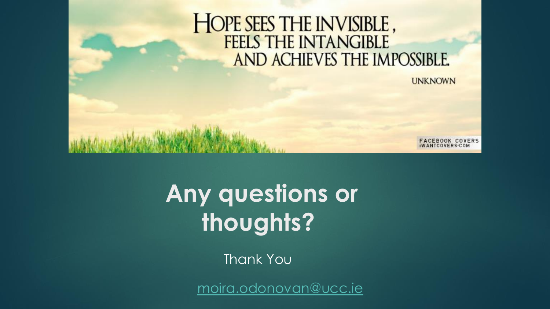# HOPE SEES THE INVISIBLE, AND ACHIEVES THE IMPOSSIBLE.

**UNKNOWN** 

CEBOOK COVERS

**Any questions or thoughts?**

Thank You

[moira.odonovan@ucc.ie](mailto:moira.odonovan@ucc.ie)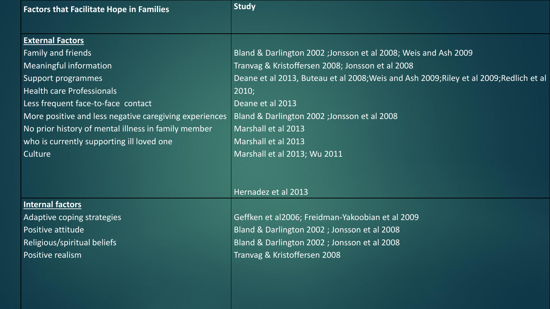| <b>Factors that Facilitate Hope in Families</b>        | <b>Study</b>                                                                            |
|--------------------------------------------------------|-----------------------------------------------------------------------------------------|
|                                                        |                                                                                         |
| <b>External Factors</b>                                |                                                                                         |
| Family and friends                                     | Bland & Darlington 2002 ; Jonsson et al 2008; Weis and Ash 2009                         |
| <b>Meaningful information</b>                          | Tranvag & Kristoffersen 2008; Jonsson et al 2008                                        |
| Support programmes                                     | Deane et al 2013, Buteau et al 2008; Weis and Ash 2009; Riley et al 2009; Redlich et al |
| <b>Health care Professionals</b>                       | 2010;                                                                                   |
| Less frequent face-to-face contact                     | Deane et al 2013                                                                        |
| More positive and less negative caregiving experiences | Bland & Darlington 2002 ; Jonsson et al 2008                                            |
| No prior history of mental illness in family member    | Marshall et al 2013                                                                     |
| who is currently supporting ill loved one              | Marshall et al 2013                                                                     |
| Culture                                                | Marshall et al 2013; Wu 2011                                                            |
|                                                        |                                                                                         |
|                                                        |                                                                                         |
|                                                        | Hernadez et al 2013                                                                     |
| <b>Internal factors</b>                                |                                                                                         |
| Adaptive coping strategies                             | Geffken et al2006; Freidman-Yakoobian et al 2009                                        |
| Positive attitude                                      | Bland & Darlington 2002 ; Jonsson et al 2008                                            |
| Religious/spiritual beliefs                            | Bland & Darlington 2002 ; Jonsson et al 2008                                            |
| Positive realism                                       | Tranvag & Kristoffersen 2008                                                            |
|                                                        |                                                                                         |
|                                                        |                                                                                         |
|                                                        |                                                                                         |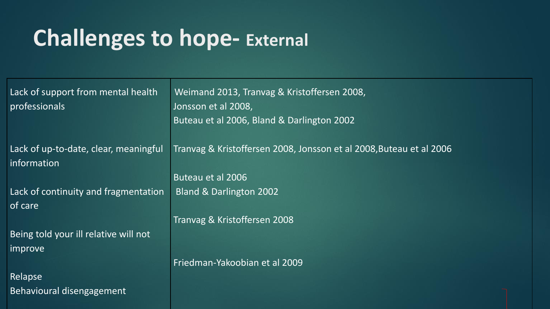#### **Challenges to hope- External**

Lack of support from mental health professionals

Lack of up-to-date, clear, meaningful information

Lack of continuity and fragmentation of care

Being told your ill relative will not improve

Relapse Behavioural disengagement

Weimand 2013, Tranvag & Kristoffersen 2008, Jonsson et al 2008, Buteau et al 2006, Bland & Darlington 2002

Tranvag & Kristoffersen 2008, Jonsson et al 2008,Buteau et al 2006

Buteau et al 2006 Bland & Darlington 2002

Tranvag & Kristoffersen 2008

Friedman-Yakoobian et al 2009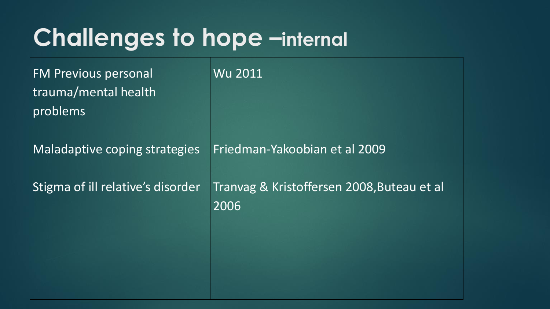#### **Challenges to hope –internal**

FM Previous personal trauma/mental health problems

Maladaptive coping strategies

Stigma of ill relative's disorder

Wu 2011

Friedman-Yakoobian et al 2009

Tranvag & Kristoffersen 2008,Buteau et al 2006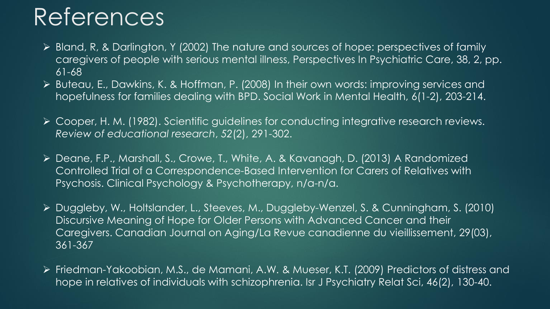# References

- Bland, R, & Darlington, Y (2002) The nature and sources of hope: perspectives of family caregivers of people with serious mental illness, Perspectives In Psychiatric Care, 38, 2, pp. 61-68
- Buteau, E., Dawkins, K. & Hoffman, P. (2008) In their own words: improving services and hopefulness for families dealing with BPD. Social Work in Mental Health, 6(1-2), 203-214.
- Cooper, H. M. (1982). Scientific guidelines for conducting integrative research reviews. *Review of educational research*, *52*(2), 291-302.
- Deane, F.P., Marshall, S., Crowe, T., White, A. & Kavanagh, D. (2013) A Randomized Controlled Trial of a Correspondence-Based Intervention for Carers of Relatives with Psychosis. Clinical Psychology & Psychotherapy, n/a-n/a.
- Duggleby, W., Holtslander, L., Steeves, M., Duggleby-Wenzel, S. & Cunningham, S. (2010) Discursive Meaning of Hope for Older Persons with Advanced Cancer and their Caregivers. Canadian Journal on Aging/La Revue canadienne du vieillissement, 29(03), 361-367
- Friedman-Yakoobian, M.S., de Mamani, A.W. & Mueser, K.T. (2009) Predictors of distress and hope in relatives of individuals with schizophrenia. Isr J Psychiatry Relat Sci, 46(2), 130-40.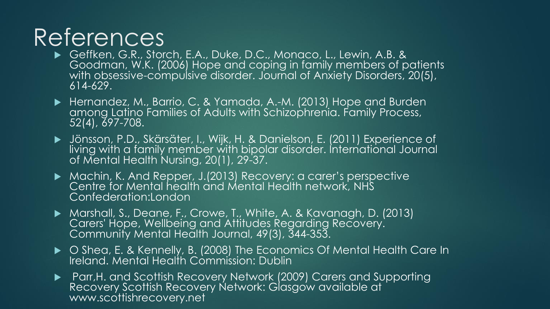## References

- ▶ Geffken, G.R., Storch, E.A., Duke, D.C., Monaco, L., Lewin, A.B. & Goodman, W.K. (2006) Hope and coping in family members of patients with obsessive-compulsive disorder. Journal of Anxiety Disorders, 20(5), 614-629.
- Hernandez, M., Barrio, C. & Yamada, A.-M. (2013) Hope and Burden among Latino Families of Adults with Schizophrenia. Family Process, 52(4), 697-708.
- Jönsson, P.D., Skärsäter, I., Wijk, H. & Danielson, E. (2011) Experience of living with a family member with bipolar disorder. International Journal of Mental Health Nursing, 20(1), 29-37.
- Machin, K. And Repper, J.(2013) Recovery: a carer's perspective Centre for Mental health and Mental Health network, NHS Confederation:London
- Marshall, S., Deane, F., Crowe, T., White, A. & Kavanagh, D. (2013) Carers' Hope, Wellbeing and Attitudes Regarding Recovery. Community Mental Health Journal, 49(3), 344-353.
- ▶ Shea, E. & Kennelly, B. (2008) The Economics Of Mental Health Care In Ireland. Mental Health Commission: Dublin
- Parr,H. and Scottish Recovery Network (2009) Carers and Supporting Recovery Scottish Recovery Network: Glasgow available at www.scottishrecovery.net